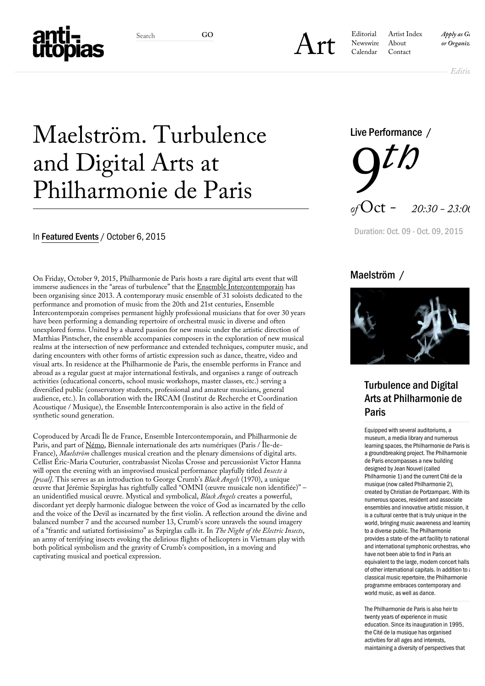

Search GO<br> **[Art](https://anti-utopias.com/art)** *Search GO*<br> *Art Newswire About or Organizational <i>or Organizational Calendar Contact* [Editorial](https://anti-utopias.com/editorial) [Artist Index](https://anti-utopias.com/artist-index/) [Newswire](https://anti-utopias.com/newswire/) [Calendar](https://anti-utopias.com/calendar/) [Contact](https://anti-utopias.com/contact/)

*Editions*

# Maelström. Turbulence and Digital Arts at Philharmonie de Paris

### In [Featured Events](https://anti-utopias.com/news-category/featured/) / October 6, 2015

On Friday, October 9, 2015, Philharmonie de Paris hosts a rare digital arts event that will immerse audiences in the "areas of turbulence" that the **Ensemble Intercontemporain** has been organising since 2013. A contemporary music ensemble of 31 soloists dedicated to the performance and promotion of music from the 20th and 21st centuries, Ensemble Intercontemporain comprises permanent highly professional musicians that for over 30 years have been performing a demanding repertoire of orchestral music in diverse and often unexplored forms. United by a shared passion for new music under the artistic direction of Matthias Pintscher, the ensemble accompanies composers in the exploration of new musical realms at the intersection of new performance and extended techniques, computer music, and daring encounters with other forms of artistic expression such as dance, theatre, video and visual arts. In residence at the Philharmonie de Paris, the ensemble performs in France and abroad as a regular guest at major international festivals, and organises a range of outreach activities (educational concerts, school music workshops, master classes, etc.) serving a diversified public (conservatory students, professional and amateur musicians, general audience, etc.). In collaboration with the IRCAM (Institut de Recherche et Coordination Acoustique / Musique), the Ensemble Intercontemporain is also active in the field of synthetic sound generation.

Coproduced by Arcadi Île de France, Ensemble Intercontemporain, and Philharmonie de Paris, and part of [Némo,](http://biennalenemo.arcadi.fr/) Biennale internationale des arts numériques (Paris / Île-de-France), *Maelström* challenges musical creation and the plenary dimensions of digital arts. Cellist Éric-Maria Couturier, contrabassist Nicolas Crosse and percussionist Victor Hanna will open the evening with an improvised musical performance playfully titled *Insecte à [pwal]*. This serves as an introduction to George Crumb's *Black Angels* (1970), a unique œuvre that Jérémie Szpirglas has rightfully called "OMNI (œuvre musicale non identifiée)" – an unidentified musical œuvre. Mystical and symbolical, *Black Angels* creates a powerful, discordant yet deeply harmonic dialogue between the voice of God as incarnated by the cello and the voice of the Devil as incarnated by the first violin. A reflection around the divine and balanced number 7 and the accursed number 13, Crumb's score unravels the sound imagery of a "frantic and satiated fortississimo" as Szpirglas calls it. In *The Night of the Electric Insects*, an army of terrifying insects evoking the delirious flights of helicopters in Vietnam play with both political symbolism and the gravity of Crumb's composition, in a moving and captivating musical and poetical expression.



Duration: Oct. 09 - Oct. 09, 2015

## Maelström /



Turbulence and Digital Arts at Philharmonie de Paris

Equipped with several auditoriums, a museum, a media library and numerous learning spaces, the Philharmonie de Paris is a groundbreaking project. The Philharmonie de Paris encompasses a new building designed by Jean Nouvel (called Philharmonie 1) and the current Cité de la musique (now called Philharmonie 2), created by Christian de Portzamparc. With its numerous spaces, resident and associate ensembles and innovative artistic mission, it is a cultural centre that is truly unique in the world, bringing music awareness and learning to a diverse public. The Philharmonie provides a state-of-the-art facility to national and international symphonic orchestras, who have not been able to find in Paris an equivalent to the large, modern concert halls of other international capitals. In addition to a classical music repertoire, the Philharmonie programme embraces contemporary and world music, as well as dance.

The Philharmonie de Paris is also heir to twenty years of experience in music education. Since its inauguration in 1995, the Cité de la musique has organised activities for all ages and interests, maintaining a diversity of perspectives that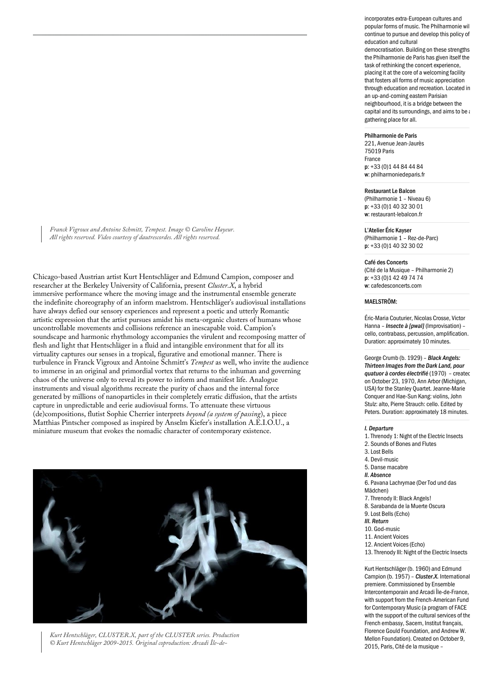*Franck Vigroux and Antoine Schmitt, Tempest. Image © Caroline Hayeur. All rights reserved. Video courtesy of dautrescordes. All rights reserved.*

Chicago-based Austrian artist Kurt Hentschläger and Edmund Campion, composer and researcher at the Berkeley University of California, present *Cluster.X*, a hybrid immersive performance where the moving image and the instrumental ensemble generate the indefinite choreography of an inform maelstrom. Hentschläger's audiovisual installations have always defied our sensory experiences and represent a poetic and utterly Romantic artistic expression that the artist pursues amidst his meta-organic clusters of humans whose uncontrollable movements and collisions reference an inescapable void. Campion's soundscape and harmonic rhythmology accompanies the virulent and recomposing matter of flesh and light that Hentschläger in a fluid and intangible environment that for all its virtuality captures our senses in a tropical, figurative and emotional manner. There is turbulence in Franck Vigroux and Antoine Schmitt's *Tempest* as well, who invite the audience to immerse in an original and primordial vortex that returns to the inhuman and governing chaos of the universe only to reveal its power to inform and manifest life. Analogue instruments and visual algorithms recreate the purity of chaos and the internal force generated by millions of nanoparticles in their completely erratic diffusion, that the artists capture in unpredictable and eerie audiovisual forms. To attenuate these virtuous (de)compositions, flutist Sophie Cherrier interprets *beyond (a system of passing*), a piece Matthias Pintscher composed as inspired by Anselm Kiefer's installation A.E.I.O.U., a miniature museum that evokes the nomadic character of contemporary existence.



*Kurt Hentschläger, CLUSTER.X, part of the CLUSTER series. Production © Kurt Hentschläger 2009-2015. Original coproduction: Arcadi Île-de-*

incorporates extra-European cultures and popular forms of music. The Philharmonie will continue to pursue and develop this policy of education and cultural democratisation. Building on these strengths the Philharmonie de Paris has given itself the task of rethinking the concert experience, placing it at the core of a welcoming facility that fosters all forms of music appreciation through education and recreation. Located in an up-and-coming eastern Parisian neighbourhood, it is a bridge between the capital and its surroundings, and aims to be  $i$ gathering place for all.

#### Philharmonie de Paris

221, Avenue Jean-Jaurès 75019 Paris France p: +33 (0)1 44 84 44 84 w: philharmoniedeparis.fr

### Restaurant Le Balcon

(Philharmonie 1 – Niveau 6) p: +33 (0)1 40 32 30 01 w: restaurant-lebalcon.fr

#### L'Atelier Éric Kayser

(Philharmonie 1 – Rez-de-Parc) p: +33 (0)1 40 32 30 02

#### Café des Concerts

(Cité de la Musique – Philharmonie 2) p: +33 (0)1 42 49 74 74 w: cafedesconcerts.com

#### MAELSTRÖM:

Éric-Maria Couturier, Nicolas Crosse, Victor Hanna – *Insecte à [pwal]* (Improvisation) – cello, contrabass, percussion, amplification. Duration: approximately 10 minutes.

George Crumb (b. 1929) – *Black Angels: Thirteen Images from the Dark Land, pour quatuor à cordes électrifié* (1970) – created on October 23, 1970, Ann Arbor (Michigan, USA) for the Stanley Quartet. Jeanne-Marie Conquer and Hae-Sun Kang: violins, John Stulz: alto, Pierre Strauch: cello. Edited by Peters. Duration: approximately 18 minutes.

#### *I. Departure*

- 1. Threnody 1: Night of the Electric Insects
- 2. Sounds of Bones and Flutes
- 3. Lost Bells
- 4. Devil-music
- 5. Danse macabre
- *II. Absence*

6. Pavana Lachrymae (Der Tod und das Mädchen)

- 7. Threnody II: Black Angels!
- 8. Sarabanda de la Muerte Oscura
- 9. Lost Bells (Echo)
- *III. Return*
- 10. God-music
- 11. Ancient Voices
- 12. Ancient Voices (Echo)
- 13. Threnody III: Night of the Electric Insects

Kurt Hentschläger (b. 1960) and Edmund Campion (b. 1957) – *Cluster.X.* International premiere. Commissioned by Ensemble Intercontemporain and Arcadi Île-de-France, with support from the French-American Fund for Contemporary Music (a program of FACE with the support of the cultural services of the French embassy, Sacem, Institut français, Florence Gould Foundation, and Andrew W. Mellon Foundation). Created on October 9, 2015, Paris, Cité de la musique –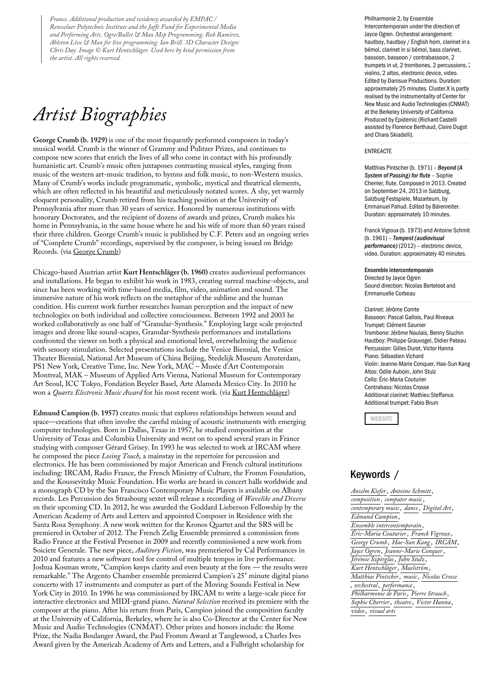*France. Additional production and residency awarded by EMPAC / Rensselaer Polytechnic Institute and the Jaffe Fund for Experimental Media and Performing Arts. Ogre/Bullet & Max Msp Programming: Rob Ramirez. Ableton Live & Max for live programming: Ian Brill. 3D Character Design: Chris Day. Image © Kurt Hentschläger. Used here by kind permission from the artist. All rights reserved.*

## *Artist Biographies*

**George Crumb (b. 1929)** is one of the most frequently performed composers in today's musical world. Crumb is the winner of Grammy and Pulitzer Prizes, and continues to compose new scores that enrich the lives of all who come in contact with his profoundly humanistic art. Crumb's music often juxtaposes contrasting musical styles, ranging from music of the western art-music tradition, to hymns and folk music, to non-Western musics. Many of Crumb's works include programmatic, symbolic, mystical and theatrical elements, which are often reflected in his beautiful and meticulously notated scores. A shy, yet warmly eloquent personality, Crumb retired from his teaching position at the University of Pennsylvania after more than 30 years of service. Honored by numerous institutions with honorary Doctorates, and the recipient of dozens of awards and prizes, Crumb makes his home in Pennsylvania, in the same house where he and his wife of more than 60 years raised their three children. George Crumb's music is published by C.F. Peters and an ongoing series of "Complete Crumb" recordings, supervised by the composer, is being issued on Bridge Records. (via [George Crumb\)](http://www.georgecrumb.net/about/)

Chicago-based Austrian artist **Kurt Hentschläger (b. 1960)** creates audiovisual performances and installations. He began to exhibit his work in 1983, creating surreal machine-objects, and since has been working with time-based media, film, video, animation and sound. The immersive nature of his work reflects on the metaphor of the sublime and the human condition. His current work further researches human perception and the impact of new technologies on both individual and collective consciousness. Between 1992 and 2003 he worked collaboratively as one half of "Granular-Synthesis." Employing large scale projected images and drone like sound-scapes, Granular-Synthesis performances and installations confronted the viewer on both a physical and emotional level, overwhelming the audience with sensory stimulation. Selected presentations include the Venice Biennial, the Venice Theater Biennial, National Art Museum of China Beijing, Stedelijk Museum Amsterdam, PS1 New York, Creative Time, Inc. New York, MAC – Musée d'Art Contemporain Montreal, MAK – Museum of Applied Arts Vienna, National Museum for Contemporary Art Seoul, ICC Tokyo, Fondation Beyeler Basel, Arte Alameda Mexico City. In 2010 he won a *Quartz Electronic Music Award* for his most recent work. (via [Kurt Hentschläger\)](http://www.kurthentschlager.com/)

**Edmund Campion (b. 1957)** creates music that explores relationships between sound and space—creations that often involve the careful mixing of acoustic instruments with emerging computer technologies. Born in Dallas, Texas in 1957, he studied composition at the University of Texas and Columbia University and went on to spend several years in France studying with composer Gérard Grisey. In 1993 he was selected to work at IRCAM where he composed the piece *Losing Touch*, a mainstay in the repertoire for percussion and electronics. He has been commissioned by major American and French cultural institutions including: IRCAM, Radio France, the French Ministry of Culture, the Fromm Foundation, and the Koussevitzky Music Foundation. His works are heard in concert halls worldwide and a monograph CD by the San Francisco Contemporary Music Players is available on Albany records. Les Percussion des Strasbourg sextet will release a recording of *Wavelike and Diverse o*n their upcoming CD. In 2012, he was awarded the Goddard Lieberson Fellowship by the American Academy of Arts and Letters and appointed Composer in Residence with the Santa Rosa Symphony. A new work written for the Kronos Quartet and the SRS will be premiered in October of 2012. The French Zelig Ensemble premiered a commission from Radio France at the Festival Presence in 2009 and recently commissioned a new work from Soiciete Generale. The new piece, *Auditory Fiction*, was premeriered by Cal Performances in 2010 and features a new software tool for control of multiple tempos in live performance. Joshua Kosman wrote, "Campion keeps clarity and even beauty at the fore — the results were remarkable." The Argento Chamber ensemble premiered Campion's 25′ minute digital piano concerto with 17 instruments and computer as part of the Moving Sounds Festival in New York City in 2010. In 1996 he was commissioned by IRCAM to write a large-scale piece for interactive electronics and MIDI-grand piano. *Natural Selection* received its premiere with the composer at the piano. After his return from Paris, Campion joined the composition faculty at the University of California, Berkeley, where he is also Co-Director at the Center for New Music and Audio Technologies (CNMAT). Other prizes and honors include: the Rome Prize, the Nadia Boulanger Award, the Paul Fromm Award at Tanglewood, a Charles Ives Award given by the Americah Academy of Arts and Letters, and a Fulbright scholarship for

Philharmonie 2, by Ensemble Intercontemporain under the direction of Jayce Ogren. Orchestral arrangement: hautboy, hautboy / English horn, clarinet in s bémol, clarinet in si bémol, bass clarinet, bassoon, bassoon / contrabassoon, 2 trumpets in ut, 2 trombones, 2 percussions, 2 violins, 2 altos, electronic device, video. Edited by Danisue Productions. Duration: approximately 25 minutes. Cluster.X is partly realised by the instrumentality of Center for New Music and Audio Technologies (CNMAT) at the Berkeley University of California. Produced by Epidemic (Richard Castelli assisted by Florence Berthaud, Claire Dugot and Chara Skiadelli).

#### ENTREACTE

Matthias Pintscher (b. 1971) – *Beyond (A System of Passing) for flute* – Sophie Cherrier, flute. Composed in 2013. Created on September 24, 2013 in Salzburg, Salzburg Festspiele, Mozarteum, by Emmanuel Pahud. Edited by Bärenreiter. Duration: approximately 10 minutes.

Franck Vigroux (b. 1973) and Antoine Schmit (b. 1961) – *Tempest (audiovisual performance)* (2012) – electronic device, video. Duration: approximately 40 minutes.

Ensemble intercontemporain Directed by Jayce Ogren Sound direction: Nicolas Berteloot and Emmanuelle Corbeau

Clarinet: Jérôme Comte Bassoon: Pascal Gallois, Paul Riveaux Trumpet: Clément Saunier Trombone: Jérôme Naulais, Benny Sluchin Hautboy: Philippe Grauvogel, Didier Pateau Percussion: Gilles Durot, Victor Hanna Piano: Sébastien Vichard Violin: Jeanne-Marie Conquer, Hae-Sun Kang Altos: Odile Auboin, John Stulz Cello: Éric-Maria Couturier Contrabass: Nicolas Crosse Additional clarinet: Mathieu Steffanus Additional trumpet: Fabio Brum

**[WEBSITE](http://philharmoniedeparis.fr/en/activity/concert/15178-maelstrom?date=1444415400)** 

## Keywords /

*[Anselm Kiefer](https://anti-utopias.com/newswire-tag/anselm-kiefer/)*, *[Antoine Schmitt](https://anti-utopias.com/newswire-tag/antoine-schmitt/)*, *[composition](https://anti-utopias.com/newswire-tag/composition/)*, *[computer music](https://anti-utopias.com/newswire-tag/computer-music/)*, *[contemporary music](https://anti-utopias.com/newswire-tag/contemporary-music/)*, *[dance](https://anti-utopias.com/newswire-tag/dance/)*, *[Digital Art](https://anti-utopias.com/newswire-tag/digital-art-2/)*, *[Edmund Campion](https://anti-utopias.com/newswire-tag/edmund-campion/)*, *[Ensemble intercontemporain](https://anti-utopias.com/newswire-tag/ensemble-intercontemporain/)*, *[Éric-Maria Couturier](https://anti-utopias.com/newswire-tag/eric-maria-couturier/)*, *[Franck Vigroux](https://anti-utopias.com/newswire-tag/franck-vigroux/)* , *[George Crumb](https://anti-utopias.com/newswire-tag/george-crumb/)* , *[Hae-Sun Kang](https://anti-utopias.com/newswire-tag/hae-sun-kang/)* , *[IRCAM](https://anti-utopias.com/newswire-tag/ircam/)*, *[Jayce Ogren](https://anti-utopias.com/newswire-tag/jayce-ogren/)*, *[Jeanne-Marie Conquer](https://anti-utopias.com/newswire-tag/jeanne-marie-conquer/)*, *[Jérémie Szpirglas](https://anti-utopias.com/newswire-tag/jeremie-szpirglas/)*, *[John Stulz](https://anti-utopias.com/newswire-tag/john-stulz/)* , *[Kurt Hentschläger](https://anti-utopias.com/newswire-tag/kurt-hentschlager/)*, *[Maelström](https://anti-utopias.com/newswire-tag/maelstrom/)*, *[Matthias Pintscher](https://anti-utopias.com/newswire-tag/matthias-pintscher/)*, *[music](https://anti-utopias.com/newswire-tag/music/)*, *[Nicolas Crosse](https://anti-utopias.com/newswire-tag/nicolas-crosse/)* , *[orchestral](https://anti-utopias.com/newswire-tag/orchestral/)* , *[performance](https://anti-utopias.com/newswire-tag/performance/)*, *[Philharmonie de Paris](https://anti-utopias.com/newswire-tag/philharmonie-de-paris/)*, *[Pierre Strauch](https://anti-utopias.com/newswire-tag/pierre-strauch/)* , *[Sophie Cherrier](https://anti-utopias.com/newswire-tag/sophie-cherrier/)*, *[theatre](https://anti-utopias.com/newswire-tag/theatre/)*, *[Victor Hanna](https://anti-utopias.com/newswire-tag/victor-hanna/)* , *[video](https://anti-utopias.com/newswire-tag/video/)*, *[visual arts](https://anti-utopias.com/newswire-tag/visual-arts/)*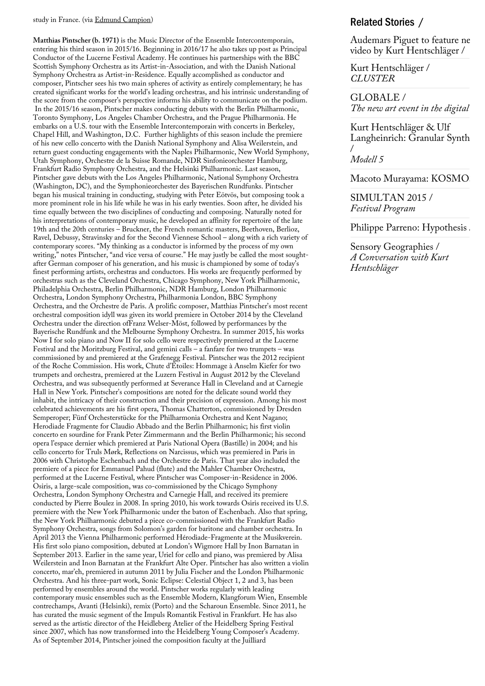study in France. (via [Edmund Campion\)](http://edmundcampion.com/biography.html)

**Matthias Pintscher (b. 1971)** is the Music Director of the Ensemble Intercontemporain, entering his third season in 2015/16. Beginning in 2016/17 he also takes up post as Principal Conductor of the Lucerne Festival Academy. He continues his partnerships with the BBC Scottish Symphony Orchestra as its Artist-in-Association, and with the Danish National Symphony Orchestra as Artist-in-Residence. Equally accomplished as conductor and composer, Pintscher sees his two main spheres of activity as entirely complementary; he has created significant works for the world's leading orchestras, and his intrinsic understanding of the score from the composer's perspective informs his ability to communicate on the podium. In the 2015/16 season, Pintscher makes conducting debuts with the Berlin Philharmonic, Toronto Symphony, Los Angeles Chamber Orchestra, and the Prague Philharmonia. He embarks on a U.S. tour with the Ensemble Intercontemporain with concerts in Berkeley, Chapel Hill, and Washington, D.C. Further highlights of this season include the premiere of his new cello concerto with the Danish National Symphony and Alisa Weilerstein, and return guest conducting engagements with the Naples Philharmonic, New World Symphony, Utah Symphony, Orchestre de la Suisse Romande, NDR Sinfonieorchester Hamburg, Frankfurt Radio Symphony Orchestra, and the Helsinki Philharmonic. Last season, Pintscher gave debuts with the Los Angeles Philharmonic, National Symphony Orchestra (Washington, DC), and the Symphonieorchester des Bayerischen Rundfunks. Pintscher began his musical training in conducting, studying with Peter Eötvös, but composing took a more prominent role in his life while he was in his early twenties. Soon after, he divided his time equally between the two disciplines of conducting and composing. Naturally noted for his interpretations of contemporary music, he developed an affinity for repertoire of the late 19th and the 20th centuries – Bruckner, the French romantic masters, Beethoven, Berlioz, Ravel, Debussy, Stravinsky and for the Second Viennese School – along with a rich variety of contemporary scores. "My thinking as a conductor is informed by the process of my own writing," notes Pintscher, "and vice versa of course." He may justly be called the most soughtafter German composer of his generation, and his music is championed by some of today's finest performing artists, orchestras and conductors. His works are frequently performed by orchestras such as the Cleveland Orchestra, Chicago Symphony, New York Philharmonic, Philadelphia Orchestra, Berlin Philharmonic, NDR Hamburg, London Philharmonic Orchestra, London Symphony Orchestra, Philharmonia London, BBC Symphony Orchestra, and the Orchestre de Paris. A prolific composer, Matthias Pintscher's most recent orchestral composition idyll was given its world premiere in October 2014 by the Cleveland Orchestra under the direction ofFranz Welser-Möst, followed by performances by the Bayerische Rundfunk and the Melbourne Symphony Orchestra. In summer 2015, his works Now I for solo piano and Now II for solo cello were respectively premiered at the Lucerne Festival and the Moritzburg Festival, and gemini calls – a fanfare for two trumpets – was commissioned by and premiered at the Grafenegg Festival. Pintscher was the 2012 recipient of the Roche Commission. His work, Chute d'Étoiles: Hommage à Anselm Kiefer for two trumpets and orchestra, premiered at the Luzern Festival in August 2012 by the Cleveland Orchestra, and was subsequently performed at Severance Hall in Cleveland and at Carnegie Hall in New York. Pintscher's compositions are noted for the delicate sound world they inhabit, the intricacy of their construction and their precision of expression. Among his most celebrated achievements are his first opera, Thomas Chatterton, commissioned by Dresden Semperoper; Fünf Orchesterstücke for the Philharmonia Orchestra and Kent Nagano; Herodiade Fragmente for Claudio Abbado and the Berlin Philharmonic; his first violin concerto en sourdine for Frank Peter Zimmermann and the Berlin Philharmonic; his second opera l'espace dernier which premiered at Paris National Opera (Bastille) in 2004; and his cello concerto for Truls Mørk, Reflections on Narcissus, which was premiered in Paris in 2006 with Christophe Eschenbach and the Orchestre de Paris. That year also included the premiere of a piece for Emmanuel Pahud (flute) and the Mahler Chamber Orchestra, performed at the Lucerne Festival, where Pintscher was Composer-in-Residence in 2006. Osiris, a large-scale composition, was co-commissioned by the Chicago Symphony Orchestra, London Symphony Orchestra and Carnegie Hall, and received its premiere conducted by Pierre Boulez in 2008. In spring 2010, his work towards Osiris received its U.S. premiere with the New York Philharmonic under the baton of Eschenbach. Also that spring, the New York Philharmonic debuted a piece co-commissioned with the Frankfurt Radio Symphony Orchestra, songs from Solomon's garden for baritone and chamber orchestra. In April 2013 the Vienna Philharmonic performed Hérodiade-Fragmente at the Musikverein. His first solo piano composition, debuted at London's Wigmore Hall by Inon Barnatan in September 2013. Earlier in the same year, Uriel for cello and piano, was premiered by Alisa Weilerstein and Inon Barnatan at the Frankfurt Alte Oper. Pintscher has also written a violin concerto, mar'eh, premiered in autumn 2011 by Julia Fischer and the London Philharmonic Orchestra. And his three-part work, Sonic Eclipse: Celestial Object 1, 2 and 3, has been performed by ensembles around the world. Pintscher works regularly with leading contemporary music ensembles such as the Ensemble Modern, Klangforum Wien, Ensemble contrechamps, Avanti (Helsinki), remix (Porto) and the Scharoun Ensemble. Since 2011, he has curated the music segment of the Impuls Romantik Festival in Frankfurt. He has also served as the artistic director of the Heidleberg Atelier of the Heidelberg Spring Festival since 2007, which has now transformed into the Heidelberg Young Composer's Academy. As of September 2014, Pintscher joined the composition faculty at the Juilliard

## Related Stories /

[Audemars Piguet to feature ne](https://anti-utopias.com/newswire/audemars-piguet-to-feature-new-video-by-kurt-hentschlager/)w video by Kurt Hentschläger /

[Kurt Hentschläger /](https://anti-utopias.com/art/kurt-hentschlager-cluster/)  *CLUSTER*

GLOBALE / *The new art event in the digital* 

Kurt Hentschläger & Ulf Langheinrich: Granular Synth / *Modell 5*

Macoto Murayama: KOSMO

[SIMULTAN 2015 /](https://anti-utopias.com/newswire/simultan-2015-festival-program/)  *Festival Program*

Philippe Parreno: Hypothesis

Sensory Geographies / *[A Conversation with Kurt](https://anti-utopias.com/editorial/sensory-geographies-a-conversation-with-kurt-hentschlager/) Hentschläger*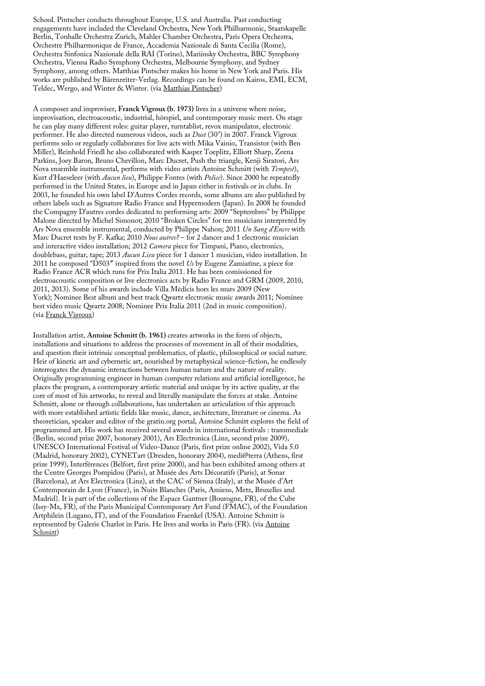School. Pintscher conducts throughout Europe, U.S. and Australia. Past conducting engagements have included the Cleveland Orchestra, New York Philharmonic, Staatskapelle Berlin, Tonhalle Orchestra Zurich, Mahler Chamber Orchestra, Paris Opera Orchestra, Orchestre Philharmonique de France, Accademia Nazionale di Santa Cecilia (Rome), Orchestra Sinfonica Nazionale della RAI (Torino), Mariinsky Orchestra, BBC Symphony Orchestra, Vienna Radio Symphony Orchestra, Melbourne Symphony, and Sydney Symphony, among others. Matthias Pintscher makes his home in New York and Paris. His works are published by Bärenreiter-Verlag. Recordings can be found on Kairos, EMI, ECM, Teldec, Wergo, and Winter & Winter. (via [Matthias Pintscher](http://www.matthiaspintscher.com/about/#biography))

A composer and improviser, **Franck Vigroux (b. 1973)** lives in a universe where noise, improvisation, electroacoustic, industrial, hörspiel, and contemporary music meet. On stage he can play many different roles: guitar player, turntablist, revox manipulator, electronic performer. He also directed numerous videos, such as *Dust* (30′) in 2007. Franck Vigroux performs solo or regularly collaborates for live acts with Mika Vainio, Transistor (with Ben Miller), Reinhold Friedl he also collaborated with Kasper Toeplitz, Elliott Sharp, Zeena Parkins, Joey Baron, Bruno Chevillon, Marc Ducret, Push the triangle, Kenji Siratori, Ars Nova ensemble instrumental, performs with video artists Antoine Schmitt (with *Tempest*), Kurt d'Haeseleer (with *Aucun lieu*), Philippe Fontes (with *Police*). Since 2000 he repeatedly performed in the United States, in Europe and in Japan either in festivals or in clubs. In 2003, he founded his own label D'Autres Cordes records, some albums are also published by others labels such as Signature Radio France and Hypermodern (Japan). In 2008 he founded the Compagny D'autres cordes dedicated to performing arts: 2009 "Septembres" by Philippe Malone directed by Michel Simonot; 2010 "Broken Circles" for ten musicians interpreted by Ars Nova ensemble instrumental, conducted by Philippe Nahon; 2011 *Un Sang d'Encre* with Marc Ducret texts by F. Kafka; 2010 *Nous autres?* – for 2 dancer and 1 electronic musician and interactive video installation; 2012 *Camera* piece for Timpani, Piano, electronics, doublebass, guitar, tape; 2013 *Aucun Lieu* piece for 1 dancer 1 musician, video installation. In 2011 he composed "D503″ inspired from the novel *Us* by Eugene Zamiatine, a piece for Radio France ACR which runs for Prix Italia 2011. He has been comissioned for electroacoustic composition or live electronics acts by Radio France and GRM (2009, 2010, 2011, 2013). Some of his awards include Villa Médicis hors les murs 2009 (New York); Nominee Best album and best track Qwartz electronic music awards 2011; Nominee best video music Qwartz 2008; Nominee Prix Italia 2011 (2nd in music composition). (via [Franck Vigroux\)](http://www.franckvigroux.com/#!biofranck.html)

Installation artist, **Antoine Schmitt (b. 1961)** creates artworks in the form of objects, installations and situations to address the processes of movement in all of their modalities, and question their intrinsic conceptual problematics, of plastic, philosophical or social nature. Heir of kinetic art and cybernetic art, nourished by metaphysical science-fiction, he endlessly interrogates the dynamic interactions between human nature and the nature of reality. Originally programming engineer in human computer relations and artificial intelligence, he places the program, a contemporary artistic material and unique by its active quality, at the core of most of his artworks, to reveal and literally manipulate the forces at stake. Antoine Schmitt, alone or through collaborations, has undertaken an articulation of this approach with more established artistic fields like music, dance, architecture, literature or cinema. As theoretician, speaker and editor of the gratin.org portal, Antoine Schmitt explores the field of programmed art. His work has received several awards in international festivals : transmediale (Berlin, second prize 2007, honorary 2001), Ars Electronica (Linz, second prize 2009), UNESCO International Festival of Video-Dance (Paris, first prize online 2002), Vida 5.0 (Madrid, honorary 2002), CYNETart (Dresden, honorary 2004), medi@terra (Athens, first prize 1999), Interférences (Belfort, first prize 2000), and has been exhibited among others at the Centre Georges Pompidou (Paris), at Musée des Arts Décoratifs (Paris), at Sonar (Barcelona), at Ars Electronica (Linz), at the CAC of Sienna (Italy), at the Musée d'Art Contemporain de Lyon (France), in Nuits Blanches (Paris, Amiens, Metz, Bruxelles and Madrid). It is part of the collections of the Espace Gantner (Bourogne, FR), of the Cube (Issy-Mx, FR), of the Paris Municipal Contemporary Art Fund (FMAC), of the Foundation Artphilein (Lugano, IT), and of the Foundation Fraenkel (USA). Antoine Schmitt is [represented by Galerie Charlot in Paris. He lives and works in Paris \(FR\). \(via Antoine](http://www.antoineschmitt.com/bio/) Schmitt)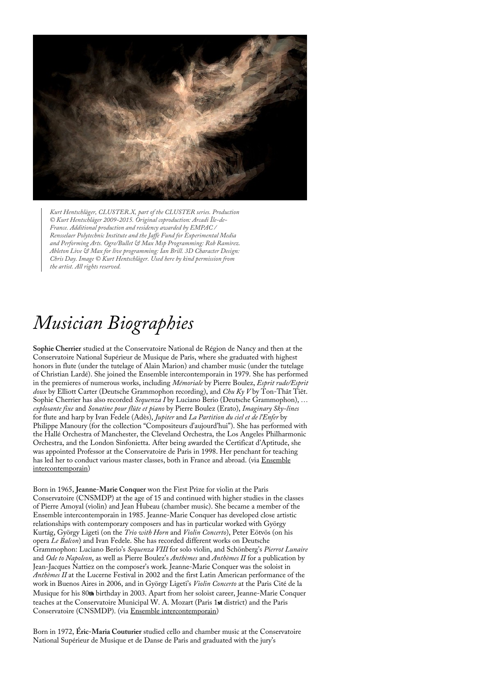

*Kurt Hentschläger, CLUSTER.X, part of the CLUSTER series. Production © Kurt Hentschläger 2009-2015. Original coproduction: Arcadi Île-de-France. Additional production and residency awarded by EMPAC / Rensselaer Polytechnic Institute and the Jaffe Fund for Experimental Media and Performing Arts. Ogre/Bullet & Max Msp Programming: Rob Ramirez. Ableton Live & Max for live programming: Ian Brill. 3D Character Design: Chris Day. Image © Kurt Hentschläger. Used here by kind permission from the artist. All rights reserved.*

## *Musician Biographies*

**Sophie Cherrier** studied at the Conservatoire National de Région de Nancy and then at the Conservatoire National Supérieur de Musique de Paris, where she graduated with highest honors in flute (under the tutelage of Alain Marion) and chamber music (under the tutelage of Christian Lardé). She joined the Ensemble intercontemporain in 1979. She has performed in the premieres of numerous works, including *Mémoriale* by Pierre Boulez, *Esprit rude/Esprit doux* by Elliott Carter (Deutsche Grammophon recording), and *Chu Ky V* by Ton-Thât Tiêt. Sophie Cherrier has also recorded *Sequenza I* by Luciano Berio (Deutsche Grammophon), *… explosante fixe* and *Sonatine pour flûte et piano* by Pierre Boulez (Erato), *Imaginary Sky-lines* for flute and harp by Ivan Fedele (Adès), *Jupiter* and *La Partition du ciel et de l'Enfer* by Philippe Manoury (for the collection "Compositeurs d'aujourd'hui"). She has performed with the Hallé Orchestra of Manchester, the Cleveland Orchestra, the Los Angeles Philharmonic Orchestra, and the London Sinfonietta. After being awarded the Certificat d'Aptitude, she was appointed Professor at the Conservatoire de Paris in 1998. Her penchant for teaching [has led her to conduct various master classes, both in France and abroad. \(via Ensemble](http://www.ensembleinter.com/media/images/solistes/doc/Cherrier_GB.doc) intercontemporain)

Born in 1965, **Jeanne-Marie Conquer** won the First Prize for violin at the Paris Conservatoire (CNSMDP) at the age of 15 and continued with higher studies in the classes of Pierre Amoyal (violin) and Jean Hubeau (chamber music). She became a member of the Ensemble intercontemporain in 1985. Jeanne-Marie Conquer has developed close artistic relationships with contemporary composers and has in particular worked with György Kurtág, György Ligeti (on the *Trio with Horn* and *Violin Concerto*), Peter Eötvös (on his opera *Le Balcon*) and Ivan Fedele. She has recorded different works on Deutsche Grammophon: Luciano Berio's *Sequenza VIII* for solo violin, and Schönberg's *Pierrot Lunaire* and *Ode to Napoleon*, as well as Pierre Boulez's *Anthèmes* and *Anthèmes II* for a publication by Jean-Jacques Nattiez on the composer's work. Jeanne-Marie Conquer was the soloist in *Anthèmes II* at the Lucerne Festival in 2002 and the first Latin American performance of the work in Buenos Aires in 2006, and in György Ligeti's *Violin Concerto* at the Paris Cité de la Musique for his 80th birthday in 2003. Apart from her soloist career, Jeanne-Marie Conquer teaches at the Conservatoire Municipal W. A. Mozart (Paris 1st district) and the Paris Conservatoire (CNSMDP). (via [Ensemble intercontemporain](http://www.ensembleinter.com/media/images/solistes/doc/Conquer_GB_oct10.doc))

Born in 1972, **Éric-Maria Couturier** studied cello and chamber music at the Conservatoire National Supérieur de Musique et de Danse de Paris and graduated with the jury's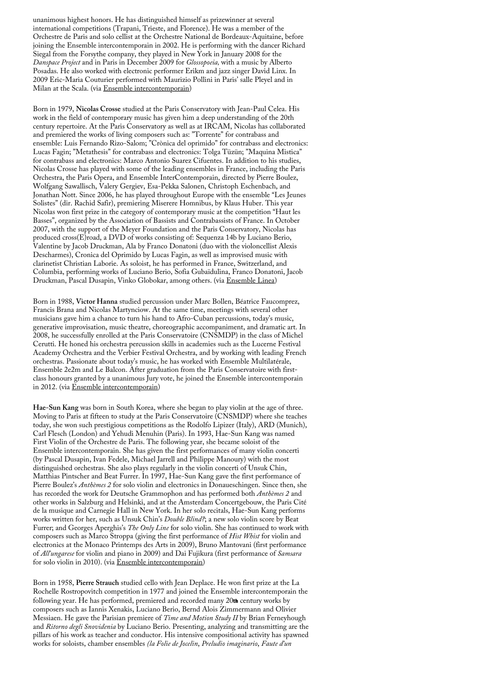unanimous highest honors. He has distinguished himself as prizewinner at several international competitions (Trapani, Trieste, and Florence). He was a member of the Orchestre de Paris and solo cellist at the Orchestre National de Bordeaux-Aquitaine, before joining the Ensemble intercontemporain in 2002. He is performing with the dancer Richard Siegal from the Forsythe company, they played in New York in January 2008 for the *Danspace Project* and in Paris in December 2009 for *Glossopoeia,* with a music by Alberto Posadas. He also worked with electronic performer Erikm and jazz singer David Linx. In 2009 Eric-Maria Couturier performed with Maurizio Pollini in Paris' salle Pleyel and in Milan at the Scala. (via [Ensemble intercontemporain](http://www.ensembleinter.com/media/images/solistes/doc/Couturier_GB_oct10.doc))

Born in 1979, **Nicolas Crosse** studied at the Paris Conservatory with Jean-Paul Celea. His work in the field of contemporary music has given him a deep understanding of the 20th century repertoire. At the Paris Conservatory as well as at IRCAM, Nicolas has collaborated and premiered the works of living composers such as: "Torrente" for contrabass and ensemble: Luis Fernando Rizo-Salom; "Crònica del oprimido" for contrabass and electronics: Lucas Fagin; "Metathesis" for contrabass and electronics: Tolga Tüzün; "Maquina Mistica" for contrabass and electronics: Marco Antonio Suarez Cifuentes. In addition to his studies, Nicolas Crosse has played with some of the leading ensembles in France, including the Paris Orchestra, the Paris Opera, and Ensemble InterContemporain, directed by Pierre Boulez, Wolfgang Sawallisch, Valery Gergiev, Esa-Pekka Salonen, Christoph Eschenbach, and Jonathan Nott. Since 2006, he has played throughout Europe with the ensemble "Les Jeunes Solistes" (dir. Rachid Safir), premiering Miserere Homnibus, by Klaus Huber. This year Nicolas won first prize in the category of contemporary music at the competition "Haut les Basses", organized by the Association of Bassists and Contrabassists of France. In October 2007, with the support of the Meyer Foundation and the Paris Conservatory, Nicolas has produced cross(E)road, a DVD of works consisting of: Sequenza 14b by Luciano Berio, Valentine by Jacob Druckman, Ala by Franco Donatoni (duo with the violoncellist Alexis Descharmes), Cronica del Oprimido by Lucas Fagin, as well as improvised music with clarinetist Christian Laborie. As soloist, he has performed in France, Switzerland, and Columbia, performing works of Luciano Berio, Sofia Gubaïdulina, Franco Donatoni, Jacob Druckman, Pascal Dusapin, Vinko Globokar, among others. (via [Ensemble Linea\)](http://www.ensemble-linea.com/index.php/english/Nicolas_Crosse/)

Born in 1988, **Victor Hanna** studied percussion under Marc Bollen, Béatrice Faucomprez, Francis Brana and Nicolas Martynciow. At the same time, meetings with several other musicians gave him a chance to turn his hand to Afro-Cuban percussions, today's music, generative improvisation, music theatre, choreographic accompaniment, and dramatic art. In 2008, he successfully enrolled at the Paris Conservatoire (CNSMDP) in the class of Michel Cerutti. He honed his orchestra percussion skills in academies such as the Lucerne Festival Academy Orchestra and the Verbier Festival Orchestra, and by working with leading French orchestras. Passionate about today's music, he has worked with Ensemble Multilatérale, Ensemble 2e2m and Le Balcon. After graduation from the Paris Conservatoire with firstclass honours granted by a unanimous Jury vote, he joined the Ensemble intercontemporain in 2012. (via [Ensemble intercontemporain\)](http://www.ensembleinter.com/en/members-eng.php?nom=Hanna&id_soliste=312)

**Hae-Sun Kang** was born in South Korea, where she began to play violin at the age of three. Moving to Paris at fifteen to study at the Paris Conservatoire (CNSMDP) where she teaches today, she won such prestigious competitions as the Rodolfo Lipizer (Italy), ARD (Munich), Carl Flesch (London) and Yehudi Menuhin (Paris). In 1993, Hae-Sun Kang was named First Violin of the Orchestre de Paris. The following year, she became soloist of the Ensemble intercontemporain. She has given the first performances of many violin concerti (by Pascal Dusapin, Ivan Fedele, Michael Jarrell and Philippe Manoury) with the most distinguished orchestras. She also plays regularly in the violin concerti of Unsuk Chin, Matthias Pintscher and Beat Furrer. In 1997, Hae-Sun Kang gave the first performance of Pierre Boulez's *Anthèmes 2* for solo violin and electronics in Donaueschingen. Since then, she has recorded the work for Deutsche Grammophon and has performed both *Anthèmes 2* and other works in Salzburg and Helsinki, and at the Amsterdam Concertgebouw, the Paris Cité de la musique and Carnegie Hall in New York. In her solo recitals, Hae-Sun Kang performs works written for her, such as Unsuk Chin's *Double Blind?*; a new solo violin score by Beat Furrer; and Georges Aperghis's *The Only Line* for solo violin. She has continued to work with composers such as Marco Stroppa (giving the first performance of *Hist Whist* for violin and electronics at the Monaco Printemps des Arts in 2009), Bruno Mantovani (first performance of *All'ungarese* for violin and piano in 2009) and Dai Fujikura (first performance of *Samsara* for solo violin in 2010). (via [Ensemble intercontemporain\)](http://www.ensembleinter.com/media/images/solistes/doc/Kang_GB_mars11.doc)

Born in 1958, **Pierre Strauch** studied cello with Jean Deplace. He won first prize at the La Rochelle Rostropovitch competition in 1977 and joined the Ensemble intercontemporain the following year. He has performed, premiered and recorded many 20th century works by composers such as Iannis Xenakis, Luciano Berio, Bernd Alois Zimmermann and Olivier Messiaen. He gave the Parisian premiere of *Time and Motion Study II* by Brian Ferneyhough and *Ritorno degli Snovidenia* by Luciano Berio. Presenting, analyzing and transmitting are the pillars of his work as teacher and conductor. His intensive compositional activity has spawned works for soloists, chamber ensembles *(la Folie de Jocelin*, *Preludio imaginario*, *Faute d'un*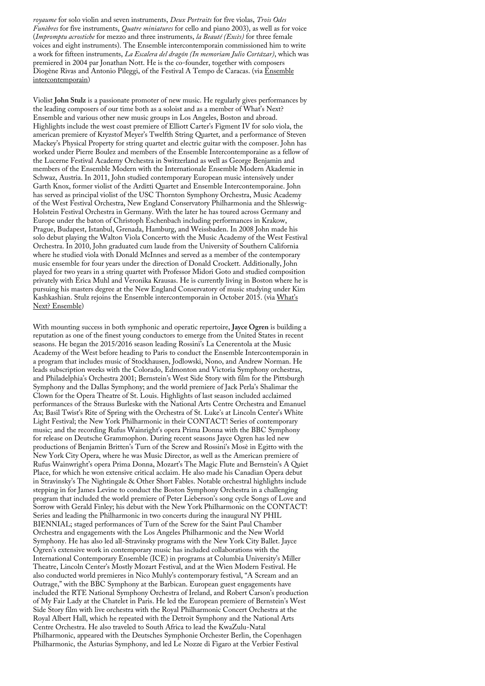*royaume* for solo violin and seven instruments, *Deux Portraits* for five violas, *Trois Odes Funèbres* for five instruments, *Quatre miniatures* for cello and piano 2003), as well as for voice (*Impromptu acrostiche* for mezzo and three instruments, *la Beauté (Excès)* for three female voices and eight instruments). The Ensemble intercontemporain commissioned him to write a work for fifteen instruments, *La Escalera del dragón (In memoriam Julio Cortázar)*, which was premiered in 2004 par Jonathan Nott. He is the co-founder, together with composers [Diogène Rivas and Antonio Pileggi, of the Festival A Tempo de Caracas. \(via Ensemble](http://www.ensembleinter.com/media/images/solistes/doc/Strauch_GB.doc) intercontemporain)

Violist **John Stulz** is a passionate promoter of new music. He regularly gives performances by the leading composers of our time both as a soloist and as a member of What's Next? Ensemble and various other new music groups in Los Angeles, Boston and abroad. Highlights include the west coast premiere of Elliott Carter's Figment IV for solo viola, the american premiere of Kryzstof Meyer's Twelfth String Quartet, and a performance of Steven Mackey's Physical Property for string quartet and electric guitar with the composer. John has worked under Pierre Boulez and members of the Ensemble Intercontemporaine as a fellow of the Lucerne Festival Academy Orchestra in Switzerland as well as George Benjamin and members of the Ensemble Modern with the Internationale Ensemble Modern Akademie in Schwaz, Austria. In 2011, John studied contemporary European music intensively under Garth Knox, former violist of the Arditti Quartet and Ensemble Intercontemporaine. John has served as principal violist of the USC Thornton Symphony Orchestra, Music Academy of the West Festival Orchestra, New England Conservatory Philharmonia and the Shleswig-Holstein Festival Orchestra in Germany. With the later he has toured across Germany and Europe under the baton of Christoph Eschenbach including performances in Krakow, Prague, Budapest, Istanbul, Grenada, Hamburg, and Weissbaden. In 2008 John made his solo debut playing the Walton Viola Concerto with the Music Academy of the West Festival Orchestra. In 2010, John graduated cum laude from the University of Southern California where he studied viola with Donald McInnes and served as a member of the contemporary music ensemble for four years under the direction of Donald Crockett. Additionally, John played for two years in a string quartet with Professor Midori Goto and studied composition privately with Erica Muhl and Veronika Krausas. He is currently living in Boston where he is pursuing his masters degree at the New England Conservatory of music studying under Kim [Kashkashian. Stulz rejoins the Ensemble intercontemporain in October 2015. \(via What's](http://www.whatsnextensemble.com/about_john.html) Next? Ensemble)

With mounting success in both symphonic and operatic repertoire, **Jayce Ogren** is building a reputation as one of the finest young conductors to emerge from the United States in recent seasons. He began the 2015/2016 season leading Rossini's La Cenerentola at the Music Academy of the West before heading to Paris to conduct the Ensemble Intercontemporain in a program that includes music of Stockhausen, Jodlowski, Nono, and Andrew Norman. He leads subscription weeks with the Colorado, Edmonton and Victoria Symphony orchestras, and Philadelphia's Orchestra 2001; Bernstein's West Side Story with film for the Pittsburgh Symphony and the Dallas Symphony; and the world premiere of Jack Perla's Shalimar the Clown for the Opera Theatre of St. Louis. Highlights of last season included acclaimed performances of the Strauss Burleske with the National Arts Centre Orchestra and Emanuel Ax; Basil Twist's Rite of Spring with the Orchestra of St. Luke's at Lincoln Center's White Light Festival; the New York Philharmonic in their CONTACT! Series of contemporary music; and the recording Rufus Wainright's opera Prima Donna with the BBC Symphony for release on Deutsche Grammophon. During recent seasons Jayce Ogren has led new productions of Benjamin Britten's Turn of the Screw and Rossini's Mosè in Egitto with the New York City Opera, where he was Music Director, as well as the American premiere of Rufus Wainwright's opera Prima Donna, Mozart's The Magic Flute and Bernstein's A Quiet Place, for which he won extensive critical acclaim. He also made his Canadian Opera debut in Stravinsky's The Nightingale & Other Short Fables. Notable orchestral highlights include stepping in for James Levine to conduct the Boston Symphony Orchestra in a challenging program that included the world premiere of Peter Lieberson's song cycle Songs of Love and Sorrow with Gerald Finley; his debut with the New York Philharmonic on the CONTACT! Series and leading the Philharmonic in two concerts during the inaugural NY PHIL BIENNIAL; staged performances of Turn of the Screw for the Saint Paul Chamber Orchestra and engagements with the Los Angeles Philharmonic and the New World Symphony. He has also led all-Stravinsky programs with the New York City Ballet. Jayce Ogren's extensive work in contemporary music has included collaborations with the International Contemporary Ensemble (ICE) in programs at Columbia University's Miller Theatre, Lincoln Center's Mostly Mozart Festival, and at the Wien Modern Festival. He also conducted world premieres in Nico Muhly's contemporary festival, "A Scream and an Outrage," with the BBC Symphony at the Barbican. European guest engagements have included the RTE National Symphony Orchestra of Ireland, and Robert Carson's production of My Fair Lady at the Chatelet in Paris. He led the European premiere of Bernstein's West Side Story film with live orchestra with the Royal Philharmonic Concert Orchestra at the Royal Albert Hall, which he repeated with the Detroit Symphony and the National Arts Centre Orchestra. He also traveled to South Africa to lead the KwaZulu-Natal Philharmonic, appeared with the Deutsches Symphonie Orchester Berlin, the Copenhagen Philharmonic, the Asturias Symphony, and led Le Nozze di Figaro at the Verbier Festival